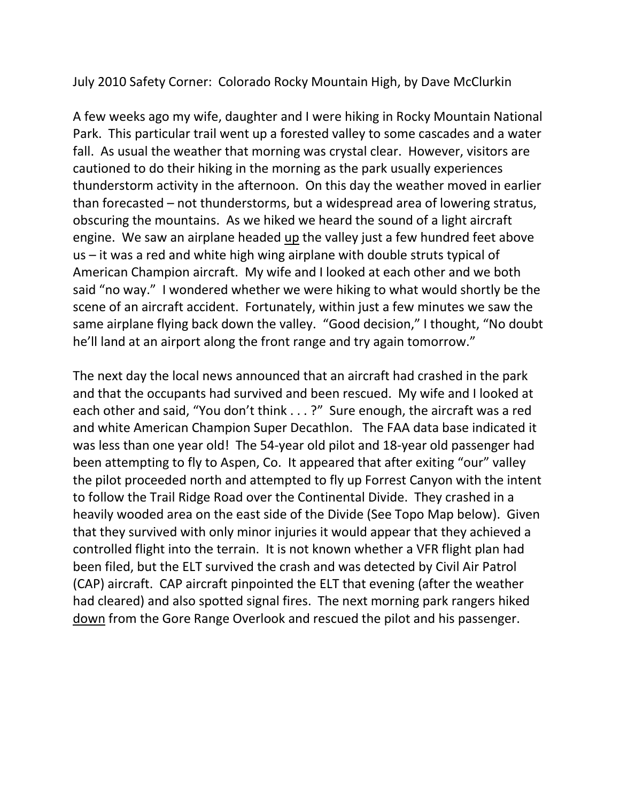July 2010 Safety Corner: Colorado Rocky Mountain High, by Dave McClurkin

A few weeks ago my wife, daughter and I were hiking in Rocky Mountain National Park. This particular trail went up a forested valley to some cascades and a water fall. As usual the weather that morning was crystal clear. However, visitors are cautioned to do their hiking in the morning as the park usually experiences thunderstorm activity in the afternoon. On this day the weather moved in earlier than forecasted – not thunderstorms, but a widespread area of lowering stratus, obscuring the mountains. As we hiked we heard the sound of a light aircraft engine. We saw an airplane headed up the valley just a few hundred feet above us – it was a red and white high wing airplane with double struts typical of American Champion aircraft. My wife and I looked at each other and we both said "no way." I wondered whether we were hiking to what would shortly be the scene of an aircraft accident. Fortunately, within just a few minutes we saw the same airplane flying back down the valley. "Good decision," I thought, "No doubt he'll land at an airport along the front range and try again tomorrow."

The next day the local news announced that an aircraft had crashed in the park and that the occupants had survived and been rescued. My wife and I looked at each other and said, "You don't think . . . ?" Sure enough, the aircraft was a red and white American Champion Super Decathlon. The FAA data base indicated it was less than one year old! The 54-year old pilot and 18-year old passenger had been attempting to fly to Aspen, Co. It appeared that after exiting "our" valley the pilot proceeded north and attempted to fly up Forrest Canyon with the intent to follow the Trail Ridge Road over the Continental Divide. They crashed in a heavily wooded area on the east side of the Divide (See Topo Map below). Given that they survived with only minor injuries it would appear that they achieved a controlled flight into the terrain. It is not known whether a VFR flight plan had been filed, but the ELT survived the crash and was detected by Civil Air Patrol (CAP) aircraft. CAP aircraft pinpointed the ELT that evening (after the weather had cleared) and also spotted signal fires. The next morning park rangers hiked down from the Gore Range Overlook and rescued the pilot and his passenger.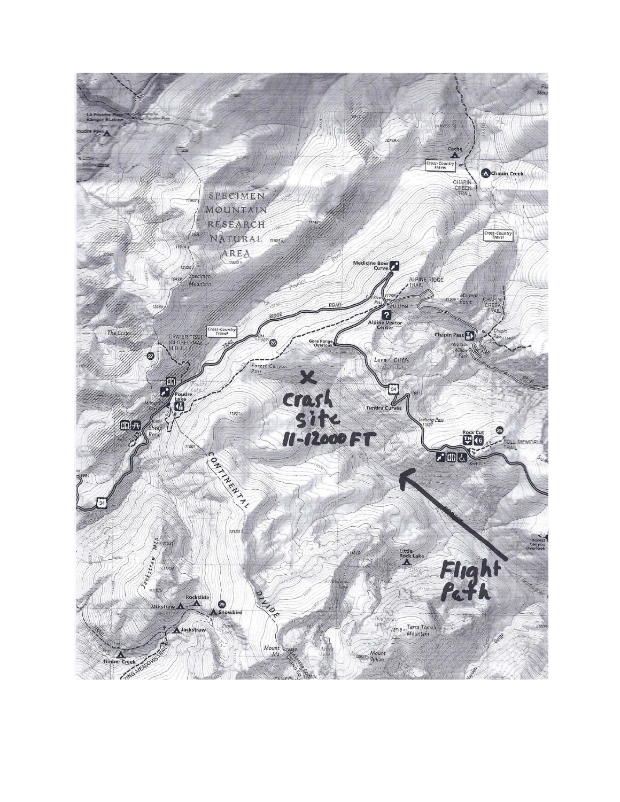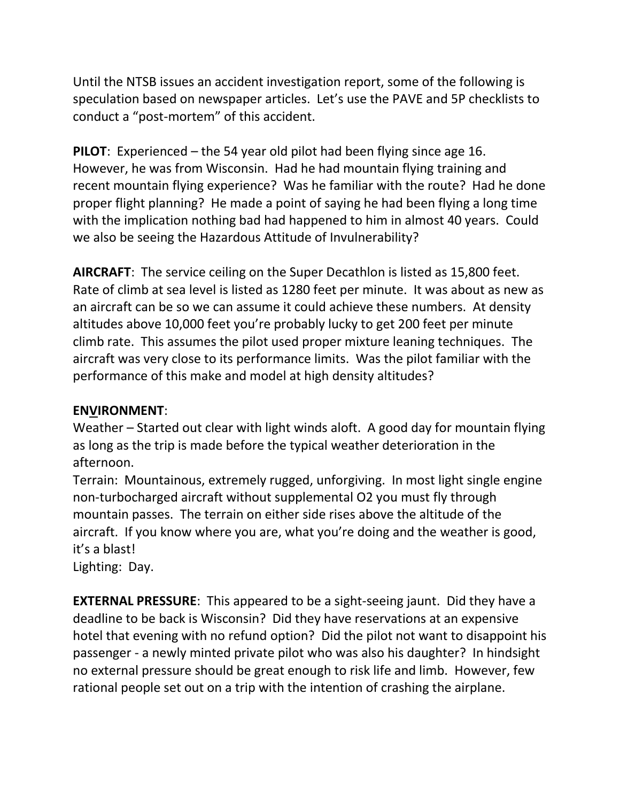Until the NTSB issues an accident investigation report, some of the following is speculation based on newspaper articles. Let's use the PAVE and 5P checklists to conduct a "post-mortem" of this accident.

**PILOT**: Experienced – the 54 year old pilot had been flying since age 16. However, he was from Wisconsin. Had he had mountain flying training and recent mountain flying experience? Was he familiar with the route? Had he done proper flight planning? He made a point of saying he had been flying a long time with the implication nothing bad had happened to him in almost 40 years. Could we also be seeing the Hazardous Attitude of Invulnerability?

**AIRCRAFT**: The service ceiling on the Super Decathlon is listed as 15,800 feet. Rate of climb at sea level is listed as 1280 feet per minute. It was about as new as an aircraft can be so we can assume it could achieve these numbers. At density altitudes above 10,000 feet you're probably lucky to get 200 feet per minute climb rate. This assumes the pilot used proper mixture leaning techniques. The aircraft was very close to its performance limits. Was the pilot familiar with the performance of this make and model at high density altitudes?

## **ENVIRONMENT**:

Weather – Started out clear with light winds aloft. A good day for mountain flying as long as the trip is made before the typical weather deterioration in the afternoon.

Terrain: Mountainous, extremely rugged, unforgiving. In most light single engine non-turbocharged aircraft without supplemental O2 you must fly through mountain passes. The terrain on either side rises above the altitude of the aircraft. If you know where you are, what you're doing and the weather is good, it's a blast!

Lighting: Day.

**EXTERNAL PRESSURE**: This appeared to be a sight-seeing jaunt. Did they have a deadline to be back is Wisconsin? Did they have reservations at an expensive hotel that evening with no refund option? Did the pilot not want to disappoint his passenger - a newly minted private pilot who was also his daughter? In hindsight no external pressure should be great enough to risk life and limb. However, few rational people set out on a trip with the intention of crashing the airplane.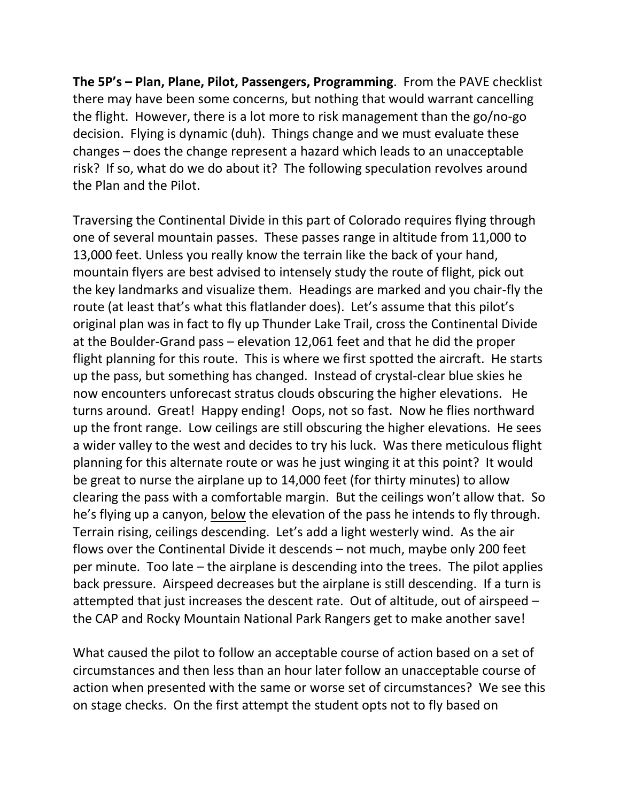**The 5P's – Plan, Plane, Pilot, Passengers, Programming**. From the PAVE checklist there may have been some concerns, but nothing that would warrant cancelling the flight. However, there is a lot more to risk management than the go/no-go decision. Flying is dynamic (duh). Things change and we must evaluate these changes – does the change represent a hazard which leads to an unacceptable risk? If so, what do we do about it? The following speculation revolves around the Plan and the Pilot.

Traversing the Continental Divide in this part of Colorado requires flying through one of several mountain passes. These passes range in altitude from 11,000 to 13,000 feet. Unless you really know the terrain like the back of your hand, mountain flyers are best advised to intensely study the route of flight, pick out the key landmarks and visualize them. Headings are marked and you chair-fly the route (at least that's what this flatlander does). Let's assume that this pilot's original plan was in fact to fly up Thunder Lake Trail, cross the Continental Divide at the Boulder-Grand pass – elevation 12,061 feet and that he did the proper flight planning for this route. This is where we first spotted the aircraft. He starts up the pass, but something has changed. Instead of crystal-clear blue skies he now encounters unforecast stratus clouds obscuring the higher elevations. He turns around. Great! Happy ending! Oops, not so fast. Now he flies northward up the front range. Low ceilings are still obscuring the higher elevations. He sees a wider valley to the west and decides to try his luck. Was there meticulous flight planning for this alternate route or was he just winging it at this point? It would be great to nurse the airplane up to 14,000 feet (for thirty minutes) to allow clearing the pass with a comfortable margin. But the ceilings won't allow that. So he's flying up a canyon, below the elevation of the pass he intends to fly through. Terrain rising, ceilings descending. Let's add a light westerly wind. As the air flows over the Continental Divide it descends – not much, maybe only 200 feet per minute. Too late – the airplane is descending into the trees. The pilot applies back pressure. Airspeed decreases but the airplane is still descending. If a turn is attempted that just increases the descent rate. Out of altitude, out of airspeed – the CAP and Rocky Mountain National Park Rangers get to make another save!

What caused the pilot to follow an acceptable course of action based on a set of circumstances and then less than an hour later follow an unacceptable course of action when presented with the same or worse set of circumstances? We see this on stage checks. On the first attempt the student opts not to fly based on